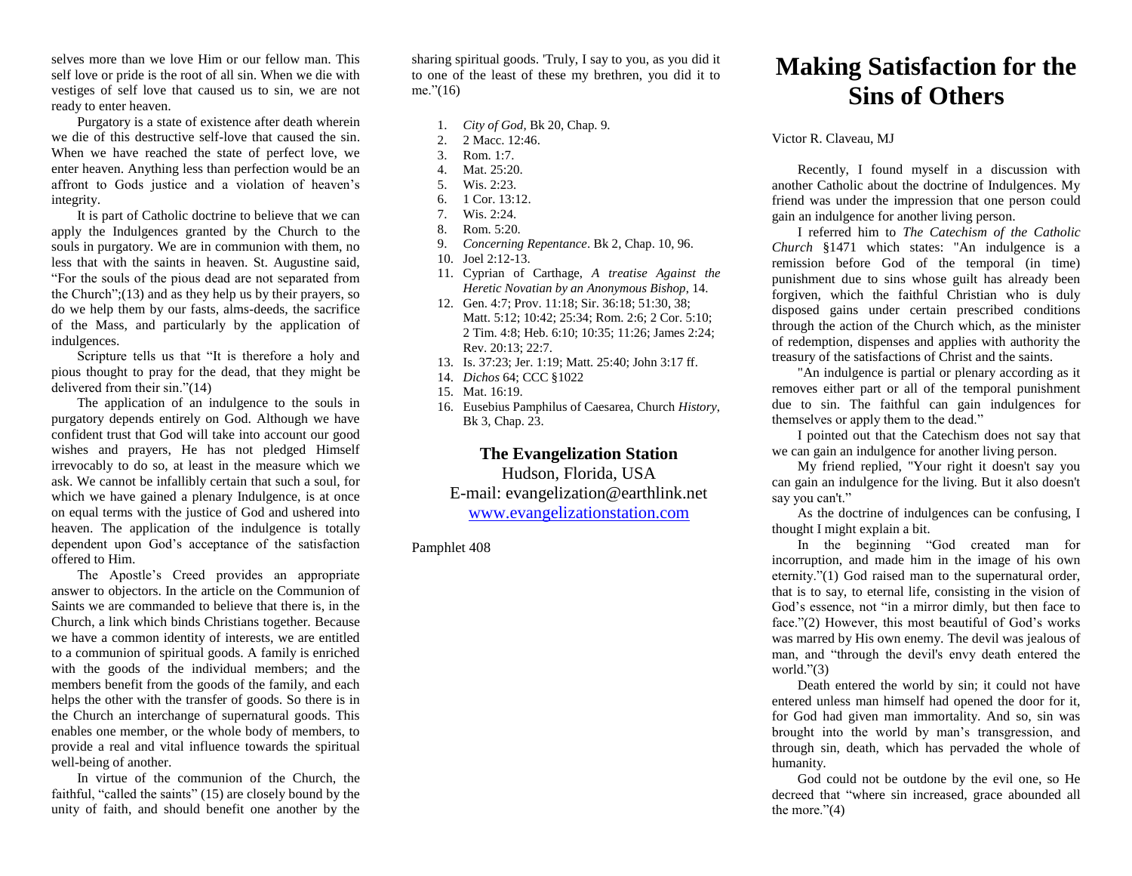selves more than we love Him or our fellow man. This self love or pride is the root of all sin. When we die with vestiges of self love that caused us to sin, we are not ready to enter heaven.

Purgatory is a state of existence after death wherein we die of this destructive self-love that caused the sin. When we have reached the state of perfect love, we enter heaven. Anything less than perfection would be an affront to Gods justice and a violation of heaven's integrity.

It is part of Catholic doctrine to believe that we can apply the Indulgences granted by the Church to the souls in purgatory. We are in communion with them, no less that with the saints in heaven. St. Augustine said, "For the souls of the pious dead are not separated from the Church";(13) and as they help us by their prayers, so do we help them by our fasts, alms-deeds, the sacrifice of the Mass, and particularly by the application of indulgences.

Scripture tells us that "It is therefore a holy and pious thought to pray for the dead, that they might be delivered from their sin."(14)

The application of an indulgence to the souls in purgatory depends entirely on God. Although we have confident trust that God will take into account our good wishes and prayers, He has not pledged Himself irrevocably to do so, at least in the measure which we ask. We cannot be infallibly certain that such a soul, for which we have gained a plenary Indulgence, is at once on equal terms with the justice of God and ushered into heaven. The application of the indulgence is totally dependent upon God's acceptance of the satisfaction offered to Him.

The Apostle's Creed provides an appropriate answer to objectors. In the article on the Communion of Saints we are commanded to believe that there is, in the Church, a link which binds Christians together. Because we have a common identity of interests, we are entitled to a communion of spiritual goods. A family is enriched with the goods of the individual members; and the members benefit from the goods of the family, and each helps the other with the transfer of goods. So there is in the Church an interchange of supernatural goods. This enables one member, or the whole body of members, to provide a real and vital influence towards the spiritual well-being of another.

In virtue of the communion of the Church, the faithful, "called the saints" (15) are closely bound by the unity of faith, and should benefit one another by the sharing spiritual goods. 'Truly, I say to you, as you did it to one of the least of these my brethren, you did it to me."(16)

1. *City of God*, Bk 20, Chap. 9.

- 2. 2 Macc. 12:46.
- 3. Rom. 1:7.
- 4. Mat. 25:20.
- 5. Wis. 2:23.
- 6. 1 Cor. 13:12.
- 7. Wis. 2:24.
- 8. Rom. 5:20.
- 9. *Concerning Repentance*. Bk 2, Chap. 10, 96.
- 10. Joel 2:12-13.
- 11. Cyprian of Carthage, *A treatise Against the Heretic Novatian by an Anonymous Bishop*, 14.
- 12. Gen. 4:7; Prov. 11:18; Sir. 36:18; 51:30, 38; Matt. 5:12; 10:42; 25:34; Rom. 2:6; 2 Cor. 5:10; 2 Tim. 4:8; Heb. 6:10; 10:35; 11:26; James 2:24; Rev. 20:13; 22:7.
- 13. Is. 37:23; Jer. 1:19; Matt. 25:40; John 3:17 ff.
- 14. *Dichos* 64; CCC §1022
- 15. Mat. 16:19.
- 16. Eusebius Pamphilus of Caesarea, Church *History*, Bk 3, Chap. 23.

## **The Evangelization Station**

Hudson, Florida, USA E-mail: evangelization@earthlink.net [www.evangelizationstation.com](http://www.pjpiisoe.org/)

Pamphlet 408

## **Making Satisfaction for the Sins of Others**

Victor R. Claveau, MJ

Recently, I found myself in a discussion with another Catholic about the doctrine of Indulgences. My friend was under the impression that one person could gain an indulgence for another living person.

I referred him to *The Catechism of the Catholic Church* §1471 which states: "An indulgence is a remission before God of the temporal (in time) punishment due to sins whose guilt has already been forgiven, which the faithful Christian who is duly disposed gains under certain prescribed conditions through the action of the Church which, as the minister of redemption, dispenses and applies with authority the treasury of the satisfactions of Christ and the saints.

"An indulgence is partial or plenary according as it removes either part or all of the temporal punishment due to sin. The faithful can gain indulgences for themselves or apply them to the dead."

I pointed out that the Catechism does not say that we can gain an indulgence for another living person.

My friend replied, "Your right it doesn't say you can gain an indulgence for the living. But it also doesn't say you can't."

As the doctrine of indulgences can be confusing, I thought I might explain a bit.

In the beginning "God created man for incorruption, and made him in the image of his own eternity."(1) God raised man to the supernatural order, that is to say, to eternal life, consisting in the vision of God's essence, not "in a mirror dimly, but then face to face."(2) However, this most beautiful of God's works was marred by His own enemy. The devil was jealous of man, and "through the devil's envy death entered the world."(3)

Death entered the world by sin; it could not have entered unless man himself had opened the door for it, for God had given man immortality. And so, sin was brought into the world by man's transgression, and through sin, death, which has pervaded the whole of humanity.

God could not be outdone by the evil one, so He decreed that "where sin increased, grace abounded all the more." $(4)$